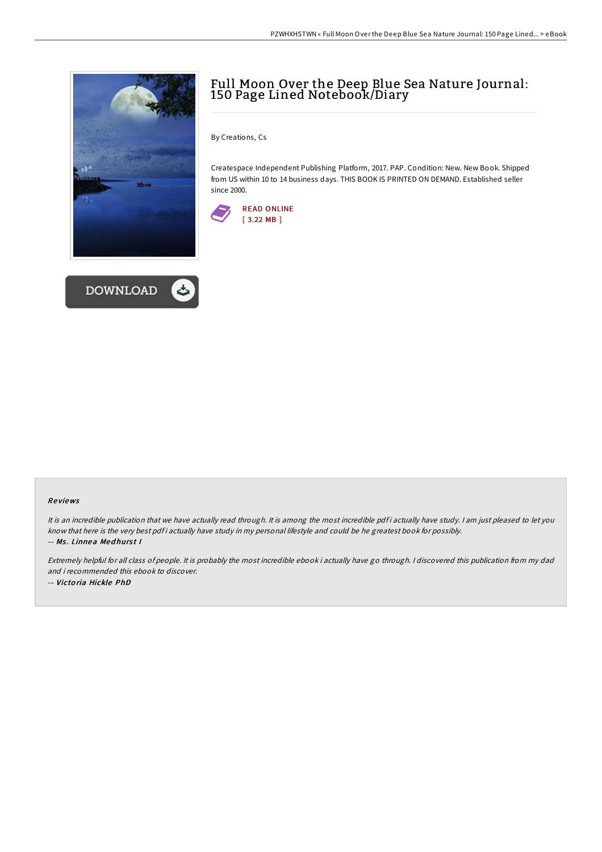



## Full Moon Over the Deep Blue Sea Nature Journal: 150 Page Lined Notebook/Diary

By Creations, Cs

Createspace Independent Publishing Platform, 2017. PAP. Condition: New. New Book. Shipped from US within 10 to 14 business days. THIS BOOK IS PRINTED ON DEMAND. Established seller since 2000.



## Re views

It is an incredible publication that we have actually read through. It is among the most incredible pdf i actually have study. I am just pleased to let you know that here is the very best pdf i actually have study in my personal lifestyle and could be he greatest book for possibly. -- Ms. Linnea Medhurst I

Extremely helpful for all class of people. It is probably the most incredible ebook i actually have go through. <sup>I</sup> discovered this publication from my dad and i recommended this ebook to discover. -- Victo ria Hickle PhD